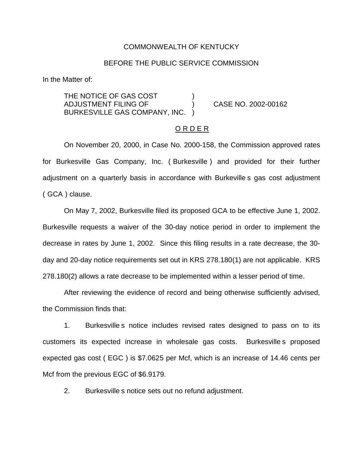### COMMONWEALTH OF KENTUCKY

## BEFORE THE PUBLIC SERVICE COMMISSION

In the Matter of:

THE NOTICE OF GAS COST ADJUSTMENT FILING OF ) CASE NO. 2002-00162 BURKESVILLE GAS COMPANY, INC. )

## O R D E R

On November 20, 2000, in Case No. 2000-158, the Commission approved rates for Burkesville Gas Company, Inc. ( Burkesville ) and provided for their further adjustment on a quarterly basis in accordance with Burkeville s gas cost adjustment ( GCA ) clause.

On May 7, 2002, Burkesville filed its proposed GCA to be effective June 1, 2002. Burkesville requests a waiver of the 30-day notice period in order to implement the decrease in rates by June 1, 2002. Since this filing results in a rate decrease, the 30 day and 20-day notice requirements set out in KRS 278.180(1) are not applicable. KRS 278.180(2) allows a rate decrease to be implemented within a lesser period of time.

After reviewing the evidence of record and being otherwise sufficiently advised, the Commission finds that:

1. Burkesville s notice includes revised rates designed to pass on to its customers its expected increase in wholesale gas costs. Burkesville s proposed expected gas cost ( EGC ) is \$7.0625 per Mcf, which is an increase of 14.46 cents per Mcf from the previous EGC of \$6.9179.

2. Burkesville s notice sets out no refund adjustment.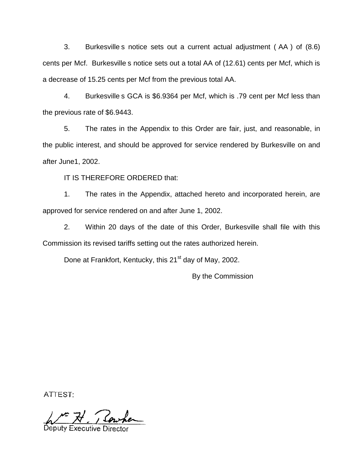3. Burkesville s notice sets out a current actual adjustment ( AA ) of (8.6) cents per Mcf. Burkesville s notice sets out a total AA of (12.61) cents per Mcf, which is a decrease of 15.25 cents per Mcf from the previous total AA.

4. Burkesville s GCA is \$6.9364 per Mcf, which is .79 cent per Mcf less than the previous rate of \$6.9443.

5. The rates in the Appendix to this Order are fair, just, and reasonable, in the public interest, and should be approved for service rendered by Burkesville on and after June1, 2002.

IT IS THEREFORE ORDERED that:

1. The rates in the Appendix, attached hereto and incorporated herein, are approved for service rendered on and after June 1, 2002.

2. Within 20 days of the date of this Order, Burkesville shall file with this Commission its revised tariffs setting out the rates authorized herein.

Done at Frankfort, Kentucky, this 21<sup>st</sup> day of May, 2002.

By the Commission

ATTEST:

Deputy Executive [